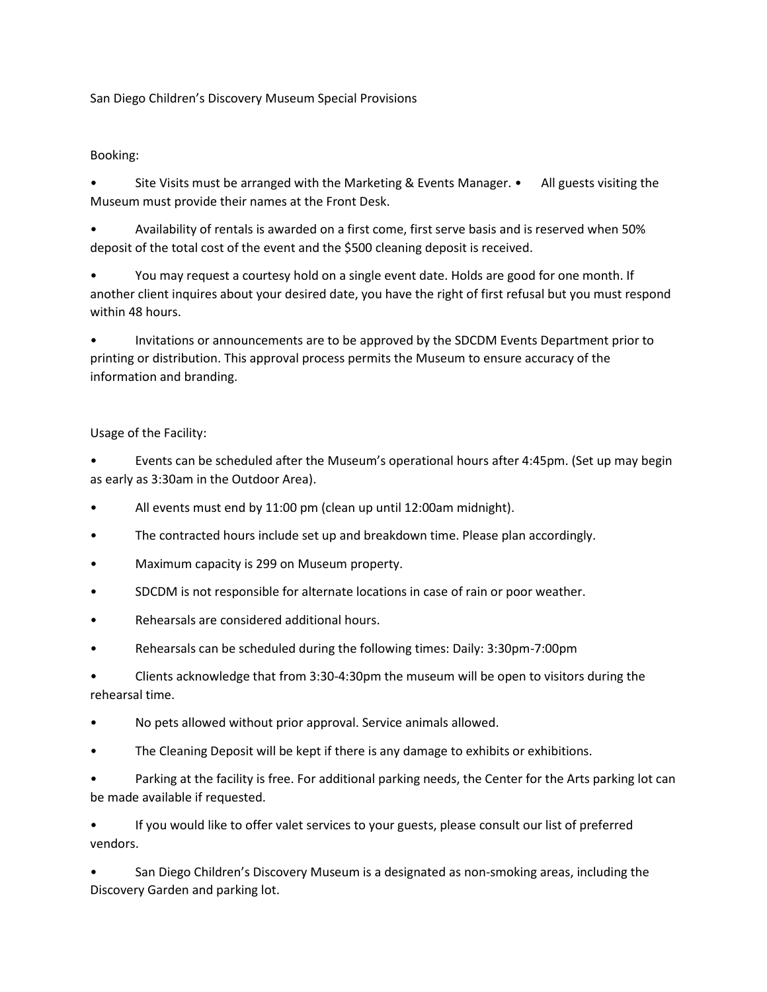San Diego Children's Discovery Museum Special Provisions

## Booking:

Site Visits must be arranged with the Marketing & Events Manager. • All guests visiting the Museum must provide their names at the Front Desk.

• Availability of rentals is awarded on a first come, first serve basis and is reserved when 50% deposit of the total cost of the event and the \$500 cleaning deposit is received.

• You may request a courtesy hold on a single event date. Holds are good for one month. If another client inquires about your desired date, you have the right of first refusal but you must respond within 48 hours.

• Invitations or announcements are to be approved by the SDCDM Events Department prior to printing or distribution. This approval process permits the Museum to ensure accuracy of the information and branding.

## Usage of the Facility:

• Events can be scheduled after the Museum's operational hours after 4:45pm. (Set up may begin as early as 3:30am in the Outdoor Area).

- All events must end by 11:00 pm (clean up until 12:00am midnight).
- The contracted hours include set up and breakdown time. Please plan accordingly.
- Maximum capacity is 299 on Museum property.
- SDCDM is not responsible for alternate locations in case of rain or poor weather.
- Rehearsals are considered additional hours.
- Rehearsals can be scheduled during the following times: Daily: 3:30pm-7:00pm

• Clients acknowledge that from 3:30-4:30pm the museum will be open to visitors during the rehearsal time.

• No pets allowed without prior approval. Service animals allowed.

- The Cleaning Deposit will be kept if there is any damage to exhibits or exhibitions.
- Parking at the facility is free. For additional parking needs, the Center for the Arts parking lot can be made available if requested.

• If you would like to offer valet services to your guests, please consult our list of preferred vendors.

• San Diego Children's Discovery Museum is a designated as non-smoking areas, including the Discovery Garden and parking lot.